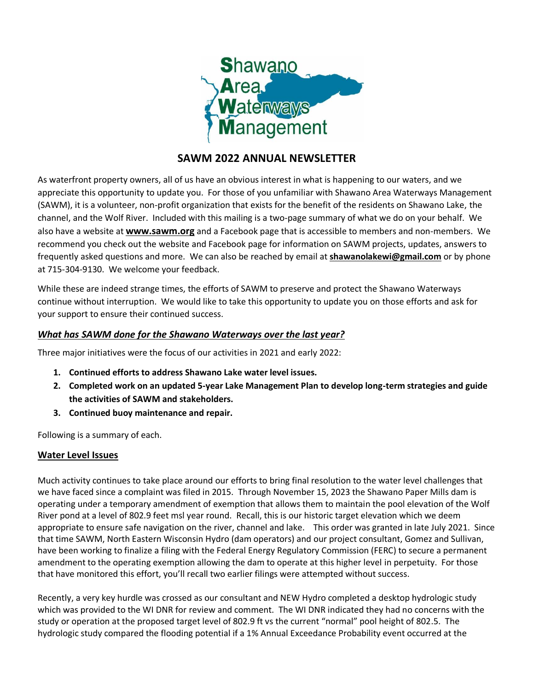

# **SAWM 2022 ANNUAL NEWSLETTER**

As waterfront property owners, all of us have an obvious interest in what is happening to our waters, and we appreciate this opportunity to update you. For those of you unfamiliar with Shawano Area Waterways Management (SAWM), it is a volunteer, non-profit organization that exists for the benefit of the residents on Shawano Lake, the channel, and the Wolf River. Included with this mailing is a two-page summary of what we do on your behalf. We also have a website at **[www.sawm.org](http://www.sawm.org/)** and a Facebook page that is accessible to members and non-members. We recommend you check out the website and Facebook page for information on SAWM projects, updates, answers to frequently asked questions and more. We can also be reached by email at **[shawanolakewi@gmail.com](mailto:shawanolakewi@gmail.com)** or by phone at 715-304-9130. We welcome your feedback.

While these are indeed strange times, the efforts of SAWM to preserve and protect the Shawano Waterways continue without interruption. We would like to take this opportunity to update you on those efforts and ask for your support to ensure their continued success.

## *What has SAWM done for the Shawano Waterways over the last year?*

Three major initiatives were the focus of our activities in 2021 and early 2022:

- **1. Continued efforts to address Shawano Lake water level issues.**
- **2. Completed work on an updated 5-year Lake Management Plan to develop long-term strategies and guide the activities of SAWM and stakeholders.**
- **3. Continued buoy maintenance and repair.**

Following is a summary of each.

# **Water Level Issues**

Much activity continues to take place around our efforts to bring final resolution to the water level challenges that we have faced since a complaint was filed in 2015. Through November 15, 2023 the Shawano Paper Mills dam is operating under a temporary amendment of exemption that allows them to maintain the pool elevation of the Wolf River pond at a level of 802.9 feet msl year round. Recall, this is our historic target elevation which we deem appropriate to ensure safe navigation on the river, channel and lake. This order was granted in late July 2021. Since that time SAWM, North Eastern Wisconsin Hydro (dam operators) and our project consultant, Gomez and Sullivan, have been working to finalize a filing with the Federal Energy Regulatory Commission (FERC) to secure a permanent amendment to the operating exemption allowing the dam to operate at this higher level in perpetuity. For those that have monitored this effort, you'll recall two earlier filings were attempted without success.

Recently, a very key hurdle was crossed as our consultant and NEW Hydro completed a desktop hydrologic study which was provided to the WI DNR for review and comment. The WI DNR indicated they had no concerns with the study or operation at the proposed target level of 802.9 ft vs the current "normal" pool height of 802.5. The hydrologic study compared the flooding potential if a 1% Annual Exceedance Probability event occurred at the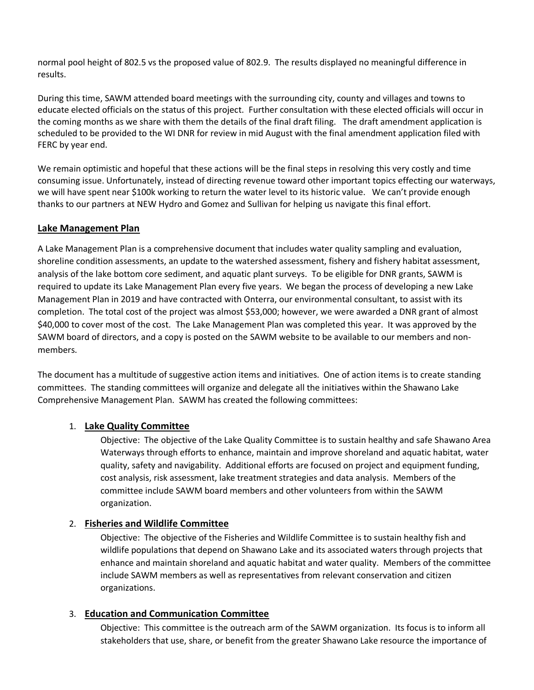normal pool height of 802.5 vs the proposed value of 802.9. The results displayed no meaningful difference in results.

During this time, SAWM attended board meetings with the surrounding city, county and villages and towns to educate elected officials on the status of this project. Further consultation with these elected officials will occur in the coming months as we share with them the details of the final draft filing. The draft amendment application is scheduled to be provided to the WI DNR for review in mid August with the final amendment application filed with FERC by year end.

We remain optimistic and hopeful that these actions will be the final steps in resolving this very costly and time consuming issue. Unfortunately, instead of directing revenue toward other important topics effecting our waterways, we will have spent near \$100k working to return the water level to its historic value. We can't provide enough thanks to our partners at NEW Hydro and Gomez and Sullivan for helping us navigate this final effort.

## **Lake Management Plan**

A Lake Management Plan is a comprehensive document that includes water quality sampling and evaluation, shoreline condition assessments, an update to the watershed assessment, fishery and fishery habitat assessment, analysis of the lake bottom core sediment, and aquatic plant surveys. To be eligible for DNR grants, SAWM is required to update its Lake Management Plan every five years. We began the process of developing a new Lake Management Plan in 2019 and have contracted with Onterra, our environmental consultant, to assist with its completion. The total cost of the project was almost \$53,000; however, we were awarded a DNR grant of almost \$40,000 to cover most of the cost. The Lake Management Plan was completed this year. It was approved by the SAWM board of directors, and a copy is posted on the SAWM website to be available to our members and nonmembers.

The document has a multitude of suggestive action items and initiatives. One of action items is to create standing committees. The standing committees will organize and delegate all the initiatives within the Shawano Lake Comprehensive Management Plan. SAWM has created the following committees:

## 1. **Lake Quality Committee**

Objective: The objective of the Lake Quality Committee is to sustain healthy and safe Shawano Area Waterways through efforts to enhance, maintain and improve shoreland and aquatic habitat, water quality, safety and navigability. Additional efforts are focused on project and equipment funding, cost analysis, risk assessment, lake treatment strategies and data analysis. Members of the committee include SAWM board members and other volunteers from within the SAWM organization.

## 2. **Fisheries and Wildlife Committee**

Objective: The objective of the Fisheries and Wildlife Committee is to sustain healthy fish and wildlife populations that depend on Shawano Lake and its associated waters through projects that enhance and maintain shoreland and aquatic habitat and water quality. Members of the committee include SAWM members as well as representatives from relevant conservation and citizen organizations.

## 3. **Education and Communication Committee**

Objective: This committee is the outreach arm of the SAWM organization. Its focus is to inform all stakeholders that use, share, or benefit from the greater Shawano Lake resource the importance of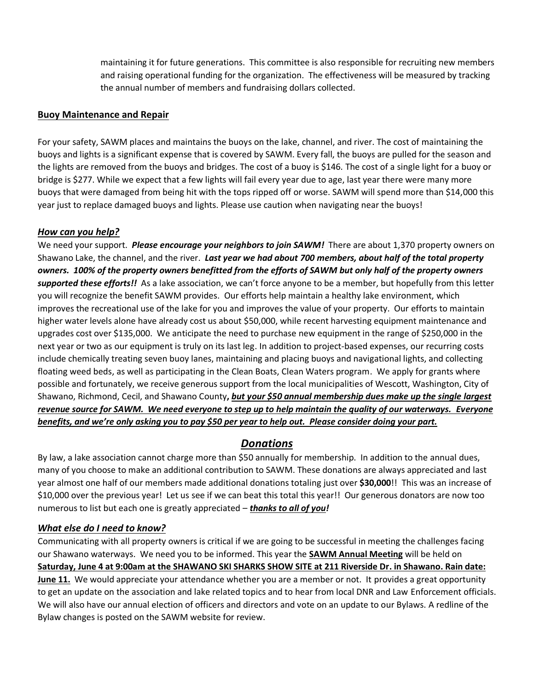maintaining it for future generations. This committee is also responsible for recruiting new members and raising operational funding for the organization. The effectiveness will be measured by tracking the annual number of members and fundraising dollars collected.

## **Buoy Maintenance and Repair**

For your safety, SAWM places and maintains the buoys on the lake, channel, and river. The cost of maintaining the buoys and lights is a significant expense that is covered by SAWM. Every fall, the buoys are pulled for the season and the lights are removed from the buoys and bridges. The cost of a buoy is \$146. The cost of a single light for a buoy or bridge is \$277. While we expect that a few lights will fail every year due to age, last year there were many more buoys that were damaged from being hit with the tops ripped off or worse. SAWM will spend more than \$14,000 this year just to replace damaged buoys and lights. Please use caution when navigating near the buoys!

## *How can you help?*

We need your support. *Please encourage your neighbors to join SAWM!* There are about 1,370 property owners on Shawano Lake, the channel, and the river. *Last year we had about 700 members, about half of the total property owners. 100% of the property owners benefitted from the efforts of SAWM but only half of the property owners supported these efforts!!* As a lake association, we can't force anyone to be a member, but hopefully from this letter you will recognize the benefit SAWM provides. Our efforts help maintain a healthy lake environment, which improves the recreational use of the lake for you and improves the value of your property. Our efforts to maintain higher water levels alone have already cost us about \$50,000, while recent harvesting equipment maintenance and upgrades cost over \$135,000. We anticipate the need to purchase new equipment in the range of \$250,000 in the next year or two as our equipment is truly on its last leg. In addition to project-based expenses, our recurring costs include chemically treating seven buoy lanes, maintaining and placing buoys and navigational lights, and collecting floating weed beds, as well as participating in the Clean Boats, Clean Waters program. We apply for grants where possible and fortunately, we receive generous support from the local municipalities of Wescott, Washington, City of Shawano, Richmond, Cecil, and Shawano County**,** *but your \$50 annual membership dues make up the single largest revenue source for SAWM. We need everyone to step up to help maintain the quality of our waterways. Everyone benefits, and we're only asking you to pay \$50 per year to help out. Please consider doing your part.*

# *Donations*

By law, a lake association cannot charge more than \$50 annually for membership. In addition to the annual dues, many of you choose to make an additional contribution to SAWM. These donations are always appreciated and last year almost one half of our members made additional donations totaling just over **\$30,000**!! This was an increase of \$10,000 over the previous year! Let us see if we can beat this total this year!! Our generous donators are now too numerous to list but each one is greatly appreciated – *thanks to all of you!*

# *What else do I need to know?*

Communicating with all property owners is critical if we are going to be successful in meeting the challenges facing our Shawano waterways. We need you to be informed. This year the **SAWM Annual Meeting** will be held on **Saturday, June 4 at 9:00am at the SHAWANO SKI SHARKS SHOW SITE at 211 Riverside Dr. in Shawano. Rain date: June 11.** We would appreciate your attendance whether you are a member or not. It provides a great opportunity to get an update on the association and lake related topics and to hear from local DNR and Law Enforcement officials. We will also have our annual election of officers and directors and vote on an update to our Bylaws. A redline of the Bylaw changes is posted on the SAWM website for review.